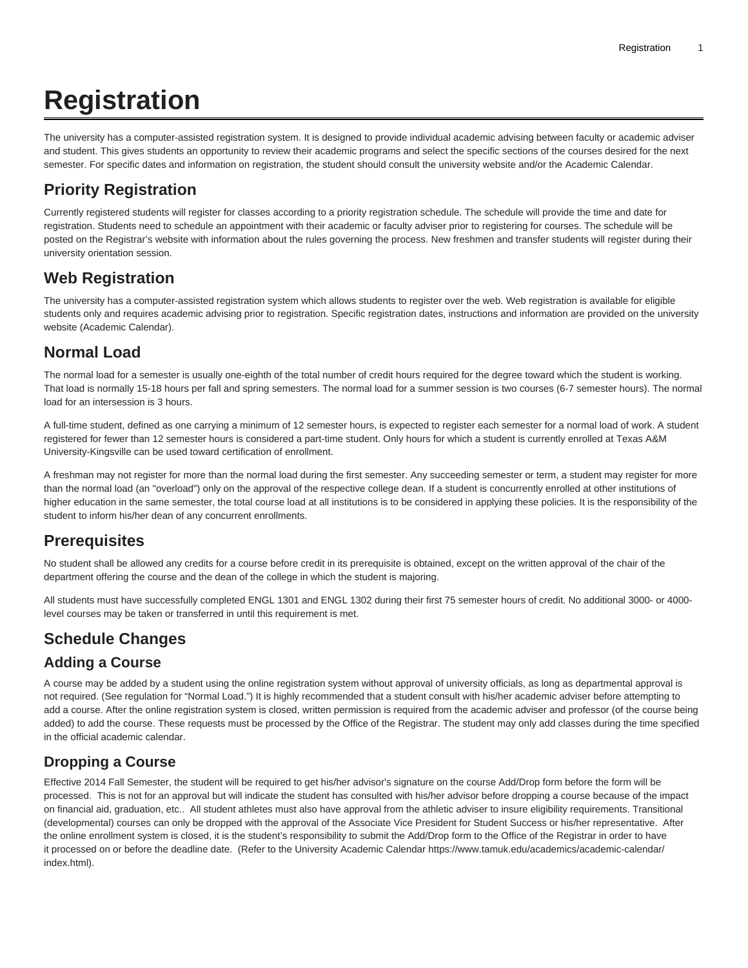# **Registration**

The university has a computer-assisted registration system. It is designed to provide individual academic advising between faculty or academic adviser and student. This gives students an opportunity to review their academic programs and select the specific sections of the courses desired for the next semester. For specific dates and information on registration, the student should consult the university website and/or the Academic Calendar.

# **Priority Registration**

Currently registered students will register for classes according to a priority registration schedule. The schedule will provide the time and date for registration. Students need to schedule an appointment with their academic or faculty adviser prior to registering for courses. The schedule will be posted on the Registrar's website with information about the rules governing the process. New freshmen and transfer students will register during their university orientation session.

# **Web Registration**

The university has a computer-assisted registration system which allows students to register over the web. Web registration is available for eligible students only and requires academic advising prior to registration. Specific registration dates, instructions and information are provided on the university website (Academic Calendar).

# **Normal Load**

The normal load for a semester is usually one-eighth of the total number of credit hours required for the degree toward which the student is working. That load is normally 15-18 hours per fall and spring semesters. The normal load for a summer session is two courses (6-7 semester hours). The normal load for an intersession is 3 hours.

A full-time student, defined as one carrying a minimum of 12 semester hours, is expected to register each semester for a normal load of work. A student registered for fewer than 12 semester hours is considered a part-time student. Only hours for which a student is currently enrolled at Texas A&M University-Kingsville can be used toward certification of enrollment.

A freshman may not register for more than the normal load during the first semester. Any succeeding semester or term, a student may register for more than the normal load (an "overload") only on the approval of the respective college dean. If a student is concurrently enrolled at other institutions of higher education in the same semester, the total course load at all institutions is to be considered in applying these policies. It is the responsibility of the student to inform his/her dean of any concurrent enrollments.

# **Prerequisites**

No student shall be allowed any credits for a course before credit in its prerequisite is obtained, except on the written approval of the chair of the department offering the course and the dean of the college in which the student is majoring.

All students must have successfully completed ENGL 1301 and ENGL 1302 during their first 75 semester hours of credit. No additional 3000- or 4000 level courses may be taken or transferred in until this requirement is met.

# **Schedule Changes**

# **Adding a Course**

A course may be added by a student using the online registration system without approval of university officials, as long as departmental approval is not required. (See regulation for "Normal Load.") It is highly recommended that a student consult with his/her academic adviser before attempting to add a course. After the online registration system is closed, written permission is required from the academic adviser and professor (of the course being added) to add the course. These requests must be processed by the Office of the Registrar. The student may only add classes during the time specified in the official academic calendar.

# **Dropping a Course**

Effective 2014 Fall Semester, the student will be required to get his/her advisor's signature on the course Add/Drop form before the form will be processed. This is not for an approval but will indicate the student has consulted with his/her advisor before dropping a course because of the impact on financial aid, graduation, etc.. All student athletes must also have approval from the athletic adviser to insure eligibility requirements. Transitional (developmental) courses can only be dropped with the approval of the Associate Vice President for Student Success or his/her representative. After the online enrollment system is closed, it is the student's responsibility to submit the Add/Drop form to the Office of the Registrar in order to have it processed on or before the deadline date. (Refer to the University Academic Calendar <https://www.tamuk.edu/academics/academic-calendar/> [index.html](https://www.tamuk.edu/academics/academic-calendar/)).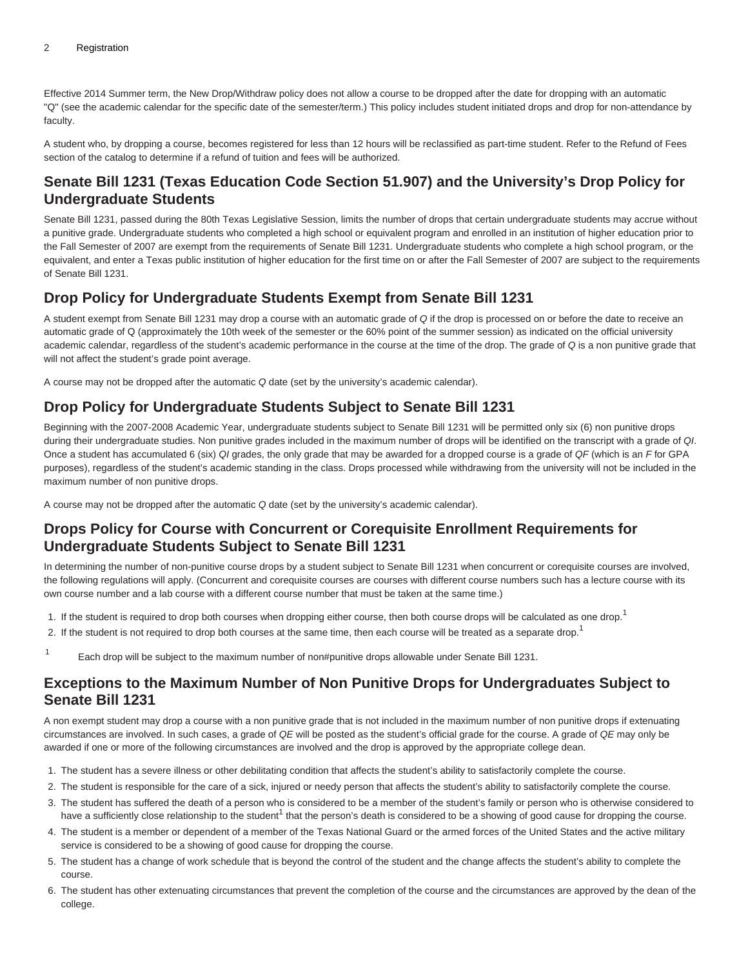Effective 2014 Summer term, the New Drop/Withdraw policy does not allow a course to be dropped after the date for dropping with an automatic "Q" (see the academic calendar for the specific date of the semester/term.) This policy includes student initiated drops and drop for non-attendance by faculty.

A student who, by dropping a course, becomes registered for less than 12 hours will be reclassified as part-time student. Refer to the [Refund of Fees](https://catalog.tamuk.edu/undergraduate/educational-expenses/refund-fees/) section of the catalog to determine if a refund of tuition and fees will be authorized.

## **Senate Bill 1231 (Texas Education Code Section 51.907) and the University's Drop Policy for Undergraduate Students**

Senate Bill 1231, passed during the 80th Texas Legislative Session, limits the number of drops that certain undergraduate students may accrue without a punitive grade. Undergraduate students who completed a high school or equivalent program and enrolled in an institution of higher education prior to the Fall Semester of 2007 are exempt from the requirements of Senate Bill 1231. Undergraduate students who complete a high school program, or the equivalent, and enter a Texas public institution of higher education for the first time on or after the Fall Semester of 2007 are subject to the requirements of Senate Bill 1231.

## **Drop Policy for Undergraduate Students Exempt from Senate Bill 1231**

A student exempt from Senate Bill 1231 may drop a course with an automatic grade of Q if the drop is processed on or before the date to receive an automatic grade of Q (approximately the 10th week of the semester or the 60% point of the summer session) as indicated on the official university academic calendar, regardless of the student's academic performance in the course at the time of the drop. The grade of Q is a non punitive grade that will not affect the student's grade point average.

A course may not be dropped after the automatic Q date (set by the university's academic calendar).

# **Drop Policy for Undergraduate Students Subject to Senate Bill 1231**

Beginning with the 2007-2008 Academic Year, undergraduate students subject to Senate Bill 1231 will be permitted only six (6) non punitive drops during their undergraduate studies. Non punitive grades included in the maximum number of drops will be identified on the transcript with a grade of QI. Once a student has accumulated 6 (six) QI grades, the only grade that may be awarded for a dropped course is a grade of QF (which is an F for GPA purposes), regardless of the student's academic standing in the class. Drops processed while withdrawing from the university will not be included in the maximum number of non punitive drops.

A course may not be dropped after the automatic Q date (set by the university's academic calendar).

#### **Drops Policy for Course with Concurrent or Corequisite Enrollment Requirements for Undergraduate Students Subject to Senate Bill 1231**

In determining the number of non-punitive course drops by a student subject to Senate Bill 1231 when concurrent or corequisite courses are involved, the following regulations will apply. (Concurrent and corequisite courses are courses with different course numbers such has a lecture course with its own course number and a lab course with a different course number that must be taken at the same time.)

- 1. If the student is required to drop both courses when dropping either course, then both course drops will be calculated as one drop.<sup>1</sup>
- 2. If the student is not required to drop both courses at the same time, then each course will be treated as a separate drop.<sup>1</sup>
- 1 Each drop will be subject to the maximum number of non#punitive drops allowable under Senate Bill 1231.

#### **Exceptions to the Maximum Number of Non Punitive Drops for Undergraduates Subject to Senate Bill 1231**

A non exempt student may drop a course with a non punitive grade that is not included in the maximum number of non punitive drops if extenuating circumstances are involved. In such cases, a grade of  $QE$  will be posted as the student's official grade for the course. A grade of  $QE$  may only be awarded if one or more of the following circumstances are involved and the drop is approved by the appropriate college dean.

- 1. The student has a severe illness or other debilitating condition that affects the student's ability to satisfactorily complete the course.
- 2. The student is responsible for the care of a sick, injured or needy person that affects the student's ability to satisfactorily complete the course.
- 3. The student has suffered the death of a person who is considered to be a member of the student's family or person who is otherwise considered to have a sufficiently close relationship to the student<sup>1</sup> that the person's death is considered to be a showing of good cause for dropping the course.
- 4. The student is a member or dependent of a member of the Texas National Guard or the armed forces of the United States and the active military service is considered to be a showing of good cause for dropping the course.
- 5. The student has a change of work schedule that is beyond the control of the student and the change affects the student's ability to complete the course.
- 6. The student has other extenuating circumstances that prevent the completion of the course and the circumstances are approved by the dean of the college.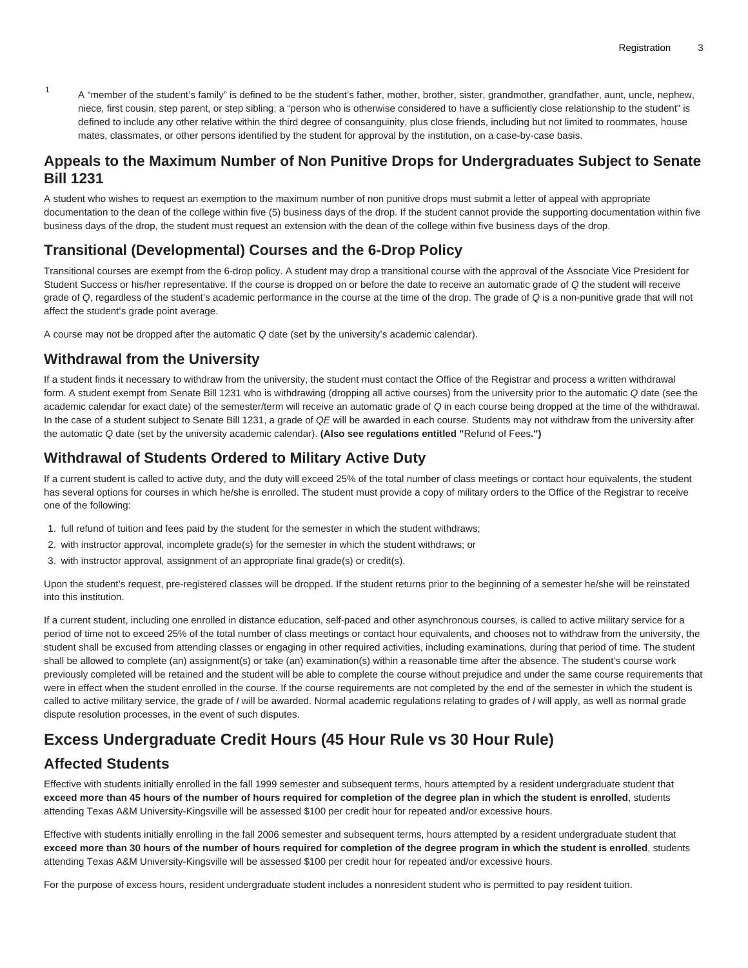1 A "member of the student's family" is defined to be the student's father, mother, brother, sister, grandmother, grandfather, aunt, uncle, nephew, niece, first cousin, step parent, or step sibling; a "person who is otherwise considered to have a sufficiently close relationship to the student" is defined to include any other relative within the third degree of consanguinity, plus close friends, including but not limited to roommates, house mates, classmates, or other persons identified by the student for approval by the institution, on a case-by-case basis.

#### **Appeals to the Maximum Number of Non Punitive Drops for Undergraduates Subject to Senate Bill 1231**

A student who wishes to request an exemption to the maximum number of non punitive drops must submit a letter of appeal with appropriate documentation to the dean of the college within five (5) business days of the drop. If the student cannot provide the supporting documentation within five business days of the drop, the student must request an extension with the dean of the college within five business days of the drop.

## **Transitional (Developmental) Courses and the 6-Drop Policy**

Transitional courses are exempt from the 6-drop policy. A student may drop a transitional course with the approval of the Associate Vice President for Student Success or his/her representative. If the course is dropped on or before the date to receive an automatic grade of Q the student will receive grade of Q, regardless of the student's academic performance in the course at the time of the drop. The grade of Q is a non-punitive grade that will not affect the student's grade point average.

A course may not be dropped after the automatic Q date (set by the university's academic calendar).

#### **Withdrawal from the University**

If a student finds it necessary to withdraw from the university, the student must contact the Office of the Registrar and process a written withdrawal form. A student exempt from Senate Bill 1231 who is withdrawing (dropping all active courses) from the university prior to the automatic Q date (see the academic calendar for exact date) of the semester/term will receive an automatic grade of Q in each course being dropped at the time of the withdrawal. In the case of a student subject to Senate Bill 1231, a grade of QE will be awarded in each course. Students may not withdraw from the university after the automatic Q date (set by the university academic calendar). **(Also see regulations entitled "**[Refund of Fees](https://catalog.tamuk.edu/undergraduate/educational-expenses/refund-fees/)**.")**

# **Withdrawal of Students Ordered to Military Active Duty**

If a current student is called to active duty, and the duty will exceed 25% of the total number of class meetings or contact hour equivalents, the student has several options for courses in which he/she is enrolled. The student must provide a copy of military orders to the Office of the Registrar to receive one of the following:

- 1. full refund of tuition and fees paid by the student for the semester in which the student withdraws;
- 2. with instructor approval, incomplete grade(s) for the semester in which the student withdraws; or
- 3. with instructor approval, assignment of an appropriate final grade(s) or credit(s).

Upon the student's request, pre-registered classes will be dropped. If the student returns prior to the beginning of a semester he/she will be reinstated into this institution.

If a current student, including one enrolled in distance education, self-paced and other asynchronous courses, is called to active military service for a period of time not to exceed 25% of the total number of class meetings or contact hour equivalents, and chooses not to withdraw from the university, the student shall be excused from attending classes or engaging in other required activities, including examinations, during that period of time. The student shall be allowed to complete (an) assignment(s) or take (an) examination(s) within a reasonable time after the absence. The student's course work previously completed will be retained and the student will be able to complete the course without prejudice and under the same course requirements that were in effect when the student enrolled in the course. If the course requirements are not completed by the end of the semester in which the student is called to active military service, the grade of I will be awarded. Normal academic regulations relating to grades of I will apply, as well as normal grade dispute resolution processes, in the event of such disputes.

# **Excess Undergraduate Credit Hours (45 Hour Rule vs 30 Hour Rule)**

# **Affected Students**

Effective with students initially enrolled in the fall 1999 semester and subsequent terms, hours attempted by a resident undergraduate student that **exceed more than 45 hours of the number of hours required for completion of the degree plan in which the student is enrolled**, students attending Texas A&M University-Kingsville will be assessed \$100 per credit hour for repeated and/or excessive hours.

Effective with students initially enrolling in the fall 2006 semester and subsequent terms, hours attempted by a resident undergraduate student that **exceed more than 30 hours of the number of hours required for completion of the degree program in which the student is enrolled**, students attending Texas A&M University-Kingsville will be assessed \$100 per credit hour for repeated and/or excessive hours.

For the purpose of excess hours, resident undergraduate student includes a nonresident student who is permitted to pay resident tuition.